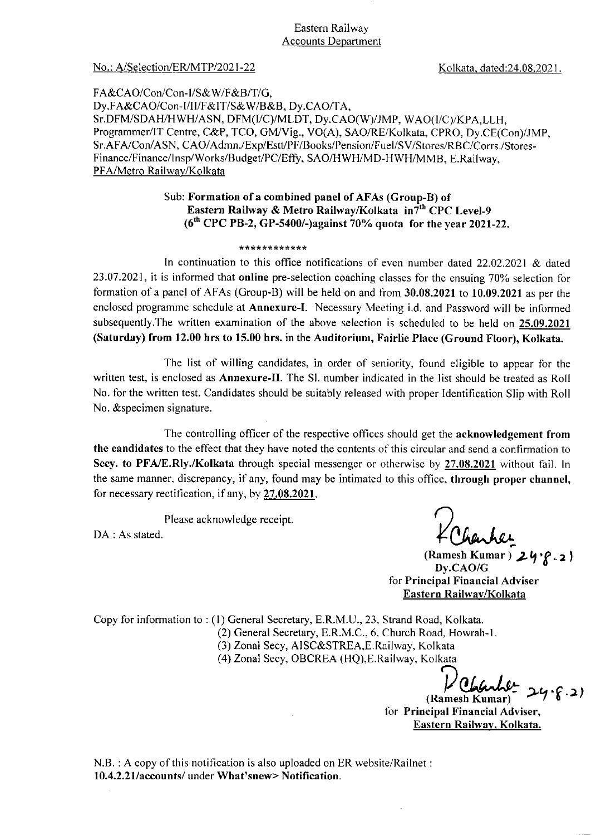#### Eastern Railway **Accounts Department**

#### No.: A/Selection/ER/MTP/2021-22

Kolkata, dated:24.08.2021.

FA&CAO/Con/Con-I/S&W/F&B/T/G, Dy.FA&CAO/Con-I/II/F&IT/S&W/B&B, Dy.CAO/TA, Sr.DFM/SDAH/HWH/ASN, DFM(I/C)/MLDT, Dy.CAO(W)/JMP, WAO(I/C)/KPA.LLH, Programmer/IT Centre, C&P, TCO, GM/Vig., VO(A), SAO/RE/Kolkata, CPRO, Dy.CE(Con)/JMP, Sr.AFA/Con/ASN, CAO/Admn./Exp/Estt/PF/Books/Pension/Fuel/SV/Stores/RBC/Corrs./Stores-Finance/Finance/Insp/Works/Budget/PC/Effy, SAO/HWH/MD-HWH/MMB, E.Railway, PFA/Metro Railway/Kolkata

### Sub: Formation of a combined panel of AFAs (Group-B) of Eastern Railway & Metro Railway/Kolkata in7th CPC Level-9  $(6<sup>th</sup> CPC PB-2, GP-5400/-) against 70% quota for the year 2021-22.$

#### \*\*\*\*\*\*\*\*\*\*\*\*

In continuation to this office notifications of even number dated  $22.02.2021$  & dated 23.07.2021, it is informed that online pre-selection coaching classes for the ensuing 70% selection for formation of a panel of AFAs (Group-B) will be held on and from 30.08.2021 to 10.09.2021 as per the enclosed programme schedule at Annexure-I. Necessary Meeting i.d. and Password will be informed subsequently. The written examination of the above selection is scheduled to be held on 25.09.2021 (Saturday) from 12.00 hrs to 15.00 hrs. in the Auditorium, Fairlie Place (Ground Floor), Kolkata.

The list of willing candidates, in order of seniority, found eligible to appear for the written test, is enclosed as Annexure-II. The Sl. number indicated in the list should be treated as Roll No. for the written test. Candidates should be suitably released with proper Identification Slip with Roll No. & specimen signature.

The controlling officer of the respective offices should get the acknowledgement from the candidates to the effect that they have noted the contents of this circular and send a confirmation to Secy. to PFA/E.Rly./Kolkata through special messenger or otherwise by 27.08.2021 without fail. In the same manner, discrepancy, if any, found may be intimated to this office, through proper channel, for necessary rectification, if any, by 27,08.2021.

Please acknowledge receipt.

DA : As stated.

(Ramesh Kumar)  $24?$  21 Dv.CAO/G for Principal Financial Adviser Eastern Railway/Kolkata

Copy for information to: (1) General Secretary, E.R.M.U., 23, Strand Road, Kolkata. (2) General Secretary, E.R.M.C., 6, Church Road, Howrah-1. (3) Zonal Secy, AISC&STREA, E.Railway, Kolkata

(4) Zonal Secy, OBCREA (HQ), E. Railway, Kolkata

(Ramesh Kumar) for Principal Financial Adviser, Eastern Railway, Kolkata.

N.B.: A copy of this notification is also uploaded on ER website/Railnet: 10.4.2.21/accounts/ under What'snew> Notification.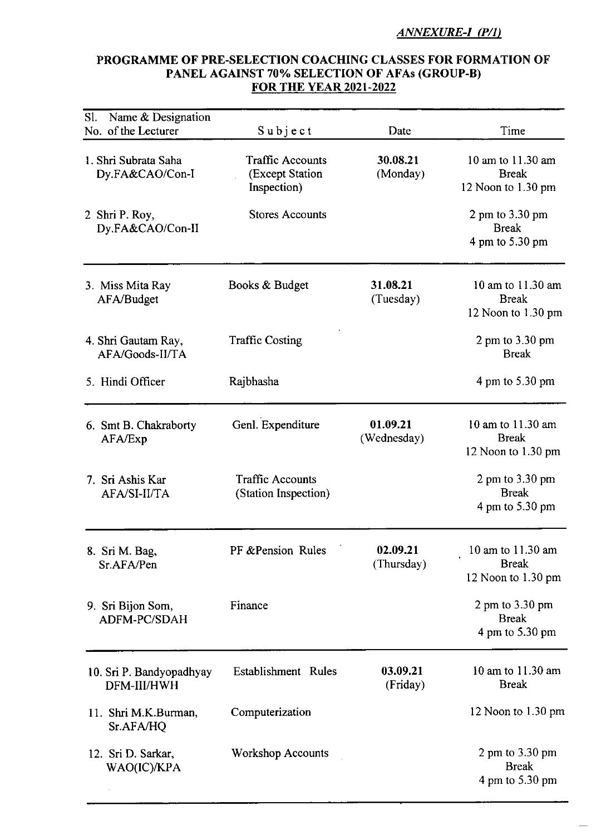## **ANNEXURE-I (P/1)**

# PROGRAMME OF PRE-SELECTION COACHING CLASSES FOR FORMATION OF PANEL AGAINST 70% SELECTION OF AFAs (GROUP-B) **FOR THE YEAR 2021-2022**

| Name & Designation<br>Sl.<br>No. of the Lecturer | Subject                                                   | Date                    | Time                                                    |
|--------------------------------------------------|-----------------------------------------------------------|-------------------------|---------------------------------------------------------|
| 1. Shri Subrata Saha<br>Dy.FA&CAO/Con-I          | <b>Traffic Accounts</b><br>(Except Station<br>Inspection) | 30.08.21<br>(Monday)    | 10 am to 11.30 am<br><b>Break</b><br>12 Noon to 1.30 pm |
| 2 Shri P. Roy,<br>Dy.FA&CAO/Con-II               | <b>Stores Accounts</b>                                    |                         | 2 pm to 3.30 pm<br><b>Break</b><br>4 pm to 5.30 pm      |
| 3. Miss Mita Ray<br>AFA/Budget                   | Books & Budget                                            | 31.08.21<br>(Tuesday)   | 10 am to 11.30 am<br><b>Break</b><br>12 Noon to 1.30 pm |
| 4. Shri Gautam Ray,<br>AFA/Goods-II/TA           | <b>Traffic Costing</b>                                    |                         | $2 \text{ pm}$ to $3.30 \text{ pm}$<br><b>Break</b>     |
| 5. Hindi Officer                                 | Rajbhasha                                                 |                         | 4 pm to 5.30 pm                                         |
| 6. Smt B. Chakraborty<br>AFA/Exp                 | Genl. Expenditure                                         | 01.09.21<br>(Wednesday) | 10 am to 11.30 am<br><b>Break</b><br>12 Noon to 1.30 pm |
| 7. Sri Ashis Kar<br>AFA/SI-II/TA                 | <b>Traffic Accounts</b><br>(Station Inspection)           |                         | 2 pm to $3.30$ pm<br><b>Break</b><br>4 pm to 5.30 pm    |
| 8. Sri M. Bag,<br>Sr.AFA/Pen                     | PF & Pension Rules                                        | 02.09.21<br>(Thursday)  | 10 am to 11.30 am<br><b>Break</b><br>12 Noon to 1.30 pm |
| 9. Sri Bijon Som,<br>ADFM-PC/SDAH                | Finance                                                   |                         | 2 pm to 3.30 pm<br><b>Break</b><br>4 pm to 5.30 pm      |
| 10. Sri P. Bandyopadhyay<br>DFM-III/HWH          | Establishment Rules                                       | 03.09.21<br>(Friday)    | 10 am to 11.30 am<br><b>Break</b>                       |
| 11. Shri M.K.Burman,<br>Sr.AFA/HQ                | Computerization                                           |                         | 12 Noon to 1.30 pm                                      |
| 12. Sri D. Sarkar,<br>WAO(IC)/KPA                | <b>Workshop Accounts</b>                                  |                         | 2 pm to $3.30$ pm<br><b>Break</b><br>4 pm to 5.30 pm    |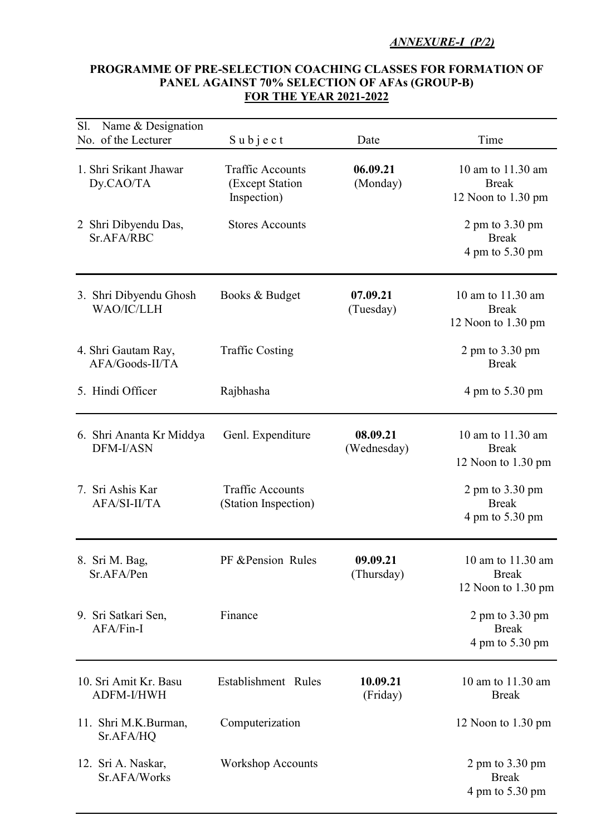## *ANNEXURE-I (P/2)*

## PROGRAMME OF PRE-SELECTION COACHING CLASSES FOR FORMATION OF PANEL AGAINST 70% SELECTION OF AFAs (GROUP-B) FOR THE YEAR 2021-2022

| Sl. | Name & Designation<br>No. of the Lecturer | $S$ ubject                                                | Date                    | Time                                                                   |
|-----|-------------------------------------------|-----------------------------------------------------------|-------------------------|------------------------------------------------------------------------|
|     | 1. Shri Srikant Jhawar<br>Dy.CAO/TA       | <b>Traffic Accounts</b><br>(Except Station<br>Inspection) | 06.09.21<br>(Monday)    | 10 am to 11.30 am<br><b>Break</b><br>12 Noon to 1.30 pm                |
|     | 2 Shri Dibyendu Das,<br>Sr.AFA/RBC        | <b>Stores Accounts</b>                                    |                         | $2 \text{ pm}$ to $3.30 \text{ pm}$<br><b>Break</b><br>4 pm to 5.30 pm |
|     | 3. Shri Dibyendu Ghosh<br>WAO/IC/LLH      | Books & Budget                                            | 07.09.21<br>(Tuesday)   | 10 am to 11.30 am<br><b>Break</b><br>12 Noon to 1.30 pm                |
|     | 4. Shri Gautam Ray,<br>AFA/Goods-II/TA    | <b>Traffic Costing</b>                                    |                         | $2 \text{ pm}$ to $3.30 \text{ pm}$<br><b>Break</b>                    |
|     | 5. Hindi Officer                          | Rajbhasha                                                 |                         | 4 pm to 5.30 pm                                                        |
|     | 6. Shri Ananta Kr Middya<br>DFM-I/ASN     | Genl. Expenditure                                         | 08.09.21<br>(Wednesday) | 10 am to 11.30 am<br><b>Break</b><br>12 Noon to 1.30 pm                |
|     | 7. Sri Ashis Kar<br>AFA/SI-II/TA          | <b>Traffic Accounts</b><br>(Station Inspection)           |                         | 2 pm to $3.30$ pm<br><b>Break</b><br>4 pm to 5.30 pm                   |
|     | 8. Sri M. Bag,<br>Sr.AFA/Pen              | PF & Pension Rules                                        | 09.09.21<br>(Thursday)  | 10 am to 11.30 am<br><b>Break</b><br>12 Noon to 1.30 pm                |
|     | 9. Sri Satkari Sen,<br>AFA/Fin-I          | Finance                                                   |                         | 2 pm to $3.30$ pm<br><b>Break</b><br>4 pm to 5.30 pm                   |
|     | 10. Sri Amit Kr. Basu<br>ADFM-I/HWH       | Establishment Rules                                       | 10.09.21<br>(Friday)    | 10 am to 11.30 am<br><b>Break</b>                                      |
|     | 11. Shri M.K.Burman,<br>Sr.AFA/HQ         | Computerization                                           |                         | 12 Noon to 1.30 pm                                                     |
|     | 12. Sri A. Naskar,<br>Sr.AFA/Works        | <b>Workshop Accounts</b>                                  |                         | 2 pm to 3.30 pm<br><b>Break</b><br>4 pm to 5.30 pm                     |